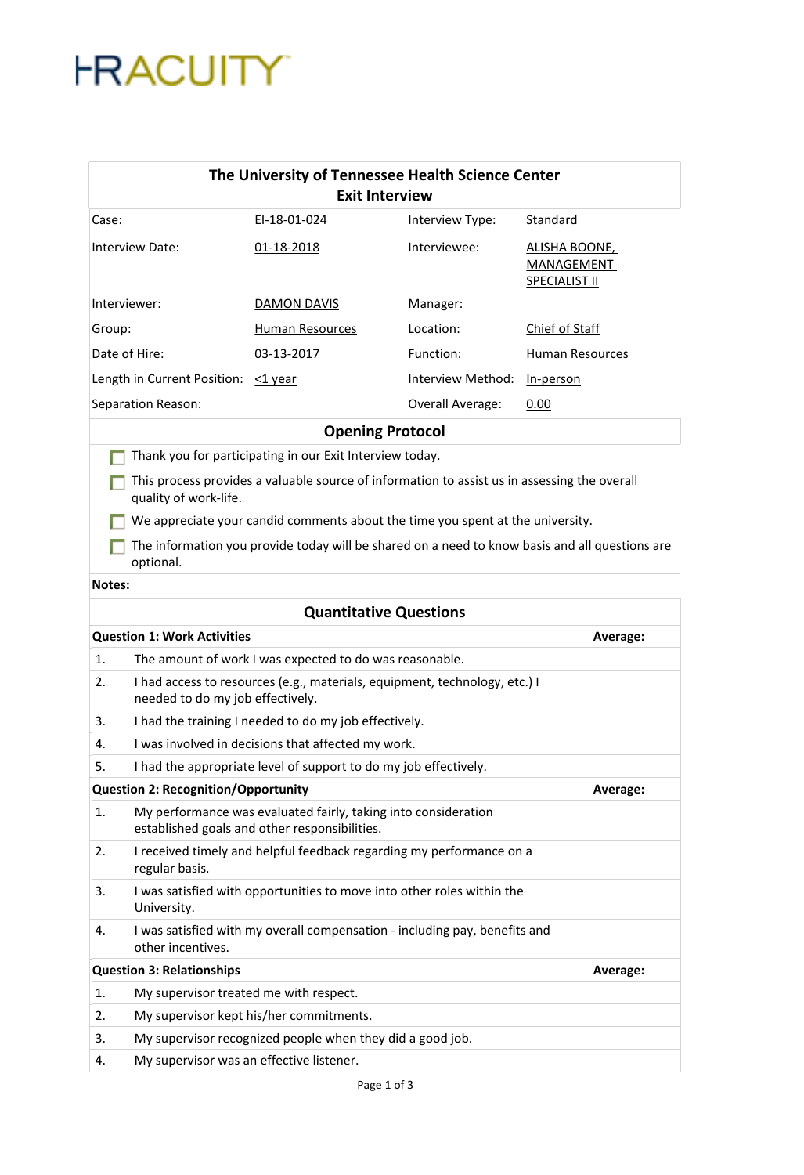## **FRACUITY**

| The University of Tennessee Health Science Center<br><b>Exit Interview</b>                                            |                                                                                                                 |                   |                                                                   |          |
|-----------------------------------------------------------------------------------------------------------------------|-----------------------------------------------------------------------------------------------------------------|-------------------|-------------------------------------------------------------------|----------|
| Case:                                                                                                                 | EI-18-01-024                                                                                                    | Interview Type:   | Standard                                                          |          |
| Interview Date:                                                                                                       | 01-18-2018                                                                                                      | Interviewee:      | <b>ALISHA BOONE,</b><br><b>MANAGEMENT</b><br><b>SPECIALIST II</b> |          |
| Interviewer:                                                                                                          | DAMON DAVIS                                                                                                     | Manager:          |                                                                   |          |
| Group:                                                                                                                | <b>Human Resources</b>                                                                                          | Location:         | Chief of Staff                                                    |          |
| Date of Hire:                                                                                                         | 03-13-2017                                                                                                      | Function:         | Human Resources                                                   |          |
| Length in Current Position: < 1 year                                                                                  |                                                                                                                 | Interview Method: | In-person                                                         |          |
| Separation Reason:                                                                                                    |                                                                                                                 | Overall Average:  | 0.00                                                              |          |
|                                                                                                                       | <b>Opening Protocol</b>                                                                                         |                   |                                                                   |          |
| Thank you for participating in our Exit Interview today.                                                              |                                                                                                                 |                   |                                                                   |          |
| This process provides a valuable source of information to assist us in assessing the overall<br>quality of work-life. |                                                                                                                 |                   |                                                                   |          |
|                                                                                                                       | We appreciate your candid comments about the time you spent at the university.                                  |                   |                                                                   |          |
| optional.                                                                                                             | The information you provide today will be shared on a need to know basis and all questions are                  |                   |                                                                   |          |
| <b>Notes:</b>                                                                                                         |                                                                                                                 |                   |                                                                   |          |
|                                                                                                                       | <b>Quantitative Questions</b>                                                                                   |                   |                                                                   |          |
| <b>Question 1: Work Activities</b>                                                                                    |                                                                                                                 |                   |                                                                   | Average: |
| The amount of work I was expected to do was reasonable.<br>1.                                                         |                                                                                                                 |                   |                                                                   |          |
| 2.<br>needed to do my job effectively.                                                                                | I had access to resources (e.g., materials, equipment, technology, etc.) I                                      |                   |                                                                   |          |
| 3.                                                                                                                    | I had the training I needed to do my job effectively.                                                           |                   |                                                                   |          |
| 4.                                                                                                                    | I was involved in decisions that affected my work.                                                              |                   |                                                                   |          |
| I had the appropriate level of support to do my job effectively.<br>5.                                                |                                                                                                                 |                   |                                                                   |          |
| <b>Question 2: Recognition/Opportunity</b>                                                                            |                                                                                                                 |                   |                                                                   | Average: |
| 1.                                                                                                                    | My performance was evaluated fairly, taking into consideration<br>established goals and other responsibilities. |                   |                                                                   |          |
| 2.<br>regular basis.                                                                                                  | I received timely and helpful feedback regarding my performance on a                                            |                   |                                                                   |          |
| 3.<br>University.                                                                                                     | I was satisfied with opportunities to move into other roles within the                                          |                   |                                                                   |          |
| 4.<br>other incentives.                                                                                               | I was satisfied with my overall compensation - including pay, benefits and                                      |                   |                                                                   |          |
| <b>Question 3: Relationships</b>                                                                                      |                                                                                                                 |                   |                                                                   | Average: |
| 1.                                                                                                                    | My supervisor treated me with respect.                                                                          |                   |                                                                   |          |
| 2.                                                                                                                    | My supervisor kept his/her commitments.                                                                         |                   |                                                                   |          |
| 3.                                                                                                                    | My supervisor recognized people when they did a good job.                                                       |                   |                                                                   |          |
| My supervisor was an effective listener.<br>4.                                                                        |                                                                                                                 |                   |                                                                   |          |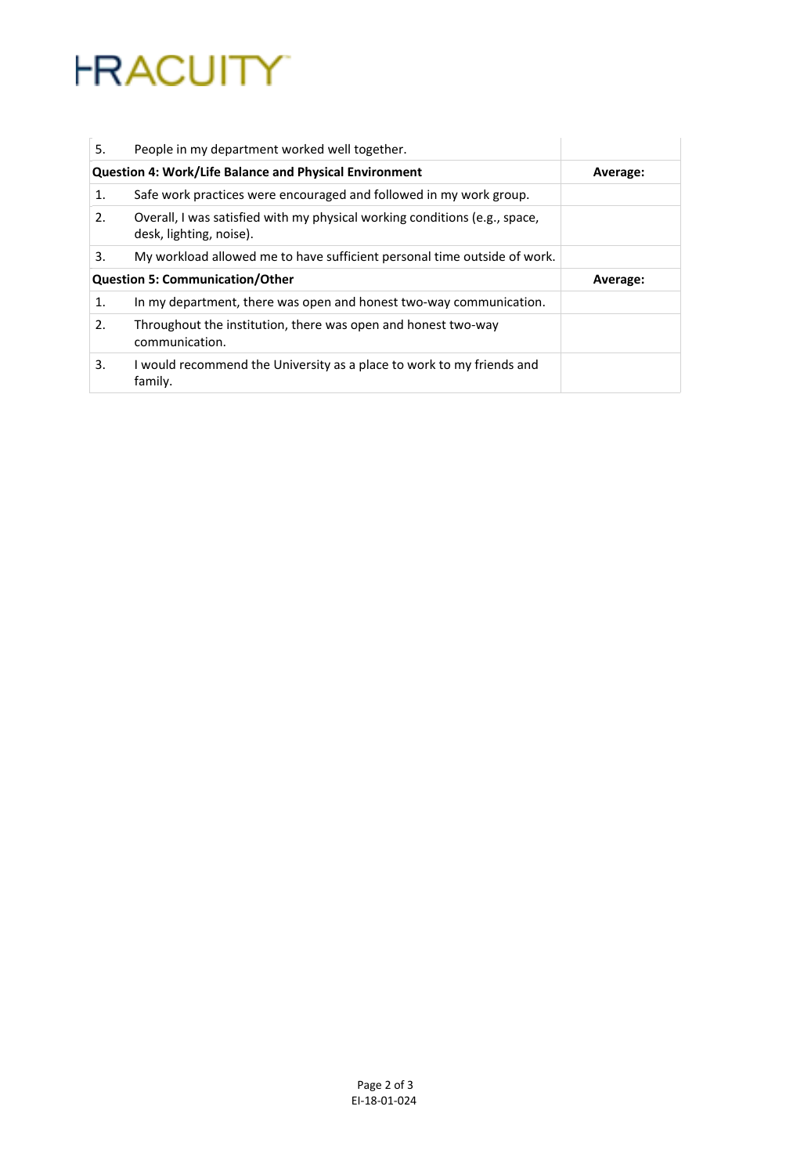## **FRACUITY**

| 5.                                     | People in my department worked well together.                                                         |          |
|----------------------------------------|-------------------------------------------------------------------------------------------------------|----------|
|                                        | <b>Question 4: Work/Life Balance and Physical Environment</b>                                         | Average: |
| 1.                                     | Safe work practices were encouraged and followed in my work group.                                    |          |
| 2.                                     | Overall, I was satisfied with my physical working conditions (e.g., space,<br>desk, lighting, noise). |          |
| 3.                                     | My workload allowed me to have sufficient personal time outside of work.                              |          |
| <b>Question 5: Communication/Other</b> |                                                                                                       | Average: |
| 1.                                     | In my department, there was open and honest two-way communication.                                    |          |
| 2.                                     | Throughout the institution, there was open and honest two-way<br>communication.                       |          |
| 3.                                     | I would recommend the University as a place to work to my friends and<br>family.                      |          |